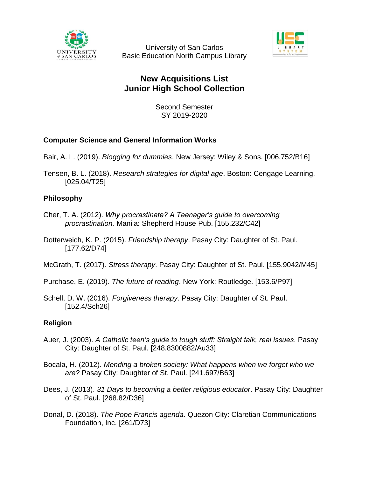

University of San Carlos Basic Education North Campus Library



# **New Acquisitions List Junior High School Collection**

Second Semester SY 2019-2020

# **Computer Science and General Information Works**

- Bair, A. L. (2019). *Blogging for dummies*. New Jersey: Wiley & Sons. [006.752/B16]
- Tensen, B. L. (2018). *Research strategies for digital age*. Boston: Cengage Learning. [025.04/T25]

# **Philosophy**

- Cher, T. A. (2012). *Why procrastinate? A Teenager's guide to overcoming procrastination.* Manila: Shepherd House Pub. [155.232/C42]
- Dotterweich, K. P. (2015). *Friendship therapy*. Pasay City: Daughter of St. Paul. [177.62/D74]
- McGrath, T. (2017). *Stress therapy*. Pasay City: Daughter of St. Paul. [155.9042/M45]
- Purchase, E. (2019). *The future of reading*. New York: Routledge. [153.6/P97]
- Schell, D. W. (2016). *Forgiveness therapy*. Pasay City: Daughter of St. Paul. [152.4/Sch26]

# **Religion**

- Auer, J. (2003). *A Catholic teen's guide to tough stuff: Straight talk, real issues*. Pasay City: Daughter of St. Paul. [248.8300882/Au33]
- Bocala, H. (2012). *Mending a broken society: What happens when we forget who we are?* Pasay City: Daughter of St. Paul. [241.697/B63]
- Dees, J. (2013). *31 Days to becoming a better religious educator*. Pasay City: Daughter of St. Paul. [268.82/D36]
- Donal, D. (2018). *The Pope Francis agenda*. Quezon City: Claretian Communications Foundation, Inc. [261/D73]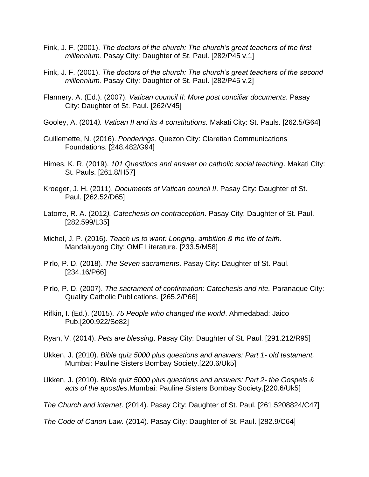- Fink, J. F. (2001). *The doctors of the church: The church's great teachers of the first millennium.* Pasay City: Daughter of St. Paul. [282/P45 v.1]
- Fink, J. F. (2001). *The doctors of the church: The church's great teachers of the second millennium.* Pasay City: Daughter of St. Paul. [282/P45 v.2]
- Flannery. A. (Ed.). (2007). *Vatican council II: More post conciliar documents*. Pasay City: Daughter of St. Paul. [262/V45]
- Gooley, A. (2014*). Vatican II and its 4 constitutions.* Makati City: St. Pauls. [262.5/G64]
- Guillemette, N. (2016). *Ponderings*. Quezon City: Claretian Communications Foundations. [248.482/G94]
- Himes, K. R. (2019). *101 Questions and answer on catholic social teaching*. Makati City: St. Pauls. [261.8/H57]
- Kroeger, J. H. (2011). *Documents of Vatican council II*. Pasay City: Daughter of St. Paul. [262.52/D65]
- Latorre, R. A. (2012*). Catechesis on contraception*. Pasay City: Daughter of St. Paul. [282.599/L35]
- Michel, J. P. (2016). *Teach us to want: Longing, ambition & the life of faith.* Mandaluyong City: OMF Literature. [233.5/M58]
- Pirlo, P. D. (2018). *The Seven sacraments*. Pasay City: Daughter of St. Paul. [234.16/P66]
- Pirlo, P. D. (2007). *The sacrament of confirmation: Catechesis and rite.* Paranaque City: Quality Catholic Publications. [265.2/P66]
- Rifkin, I. (Ed.). (2015). *75 People who changed the world*. Ahmedabad: Jaico Pub.[200.922/Se82]
- Ryan, V. (2014). *Pets are blessing*. Pasay City: Daughter of St. Paul. [291.212/R95]
- Ukken, J. (2010). *Bible quiz 5000 plus questions and answers: Part 1- old testament.*  Mumbai: Pauline Sisters Bombay Society.[220.6/Uk5]
- Ukken, J. (2010). *Bible quiz 5000 plus questions and answers: Part 2- the Gospels & acts of the apostles*.Mumbai: Pauline Sisters Bombay Society.[220.6/Uk5]

*The Church and internet*. (2014). Pasay City: Daughter of St. Paul. [261.5208824/C47]

*The Code of Canon Law.* (2014). Pasay City: Daughter of St. Paul. [282.9/C64]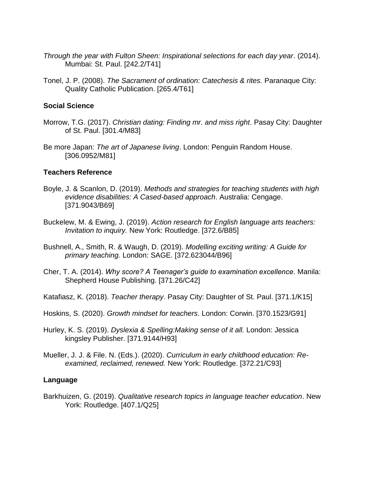- *Through the year with Fulton Sheen: Inspirational selections for each day year*. (2014). Mumbai: St. Paul. [242.2/T41]
- Tonel, J. P. (2008). *The Sacrament of ordination: Catechesis & rites.* Paranaque City: Quality Catholic Publication. [265.4/T61]

#### **Social Science**

- Morrow, T.G. (2017). *Christian dating: Finding mr. and miss right*. Pasay City: Daughter of St. Paul. [301.4/M83]
- Be more Japan: *The art of Japanese living*. London: Penguin Random House. [306.0952/M81]

#### **Teachers Reference**

- Boyle, J. & Scanlon, D. (2019). *Methods and strategies for teaching students with high evidence disabilities: A Cased-based approach*. Australia: Cengage. [371.9043/B69]
- Buckelew, M. & Ewing, J. (2019). *Action research for English language arts teachers: Invitation to inquiry.* New York: Routledge. [372.6/B85]
- Bushnell, A., Smith, R. & Waugh, D. (2019). *Modelling exciting writing: A Guide for primary teaching.* London: SAGE. [372.623044/B96]
- Cher, T. A. (2014). *Why score? A Teenager's guide to examination excellence*. Manila: Shepherd House Publishing. [371.26/C42]
- Katafiasz, K. (2018). *Teacher therapy*. Pasay City: Daughter of St. Paul. [371.1/K15]
- Hoskins, S. (2020). *Growth mindset for teachers*. London: Corwin. [370.1523/G91]
- Hurley, K. S. (2019). *Dyslexia & Spelling:Making sense of it all.* London: Jessica kingsley Publisher. [371.9144/H93]
- Mueller, J. J. & File. N. (Eds.). (2020). *Curriculum in early childhood education: Reexamined, reclaimed, renewed.* New York: Routledge. [372.21/C93]

#### **Language**

Barkhuizen, G. (2019). *Qualitative research topics in language teacher education*. New York: Routledge. [407.1/Q25]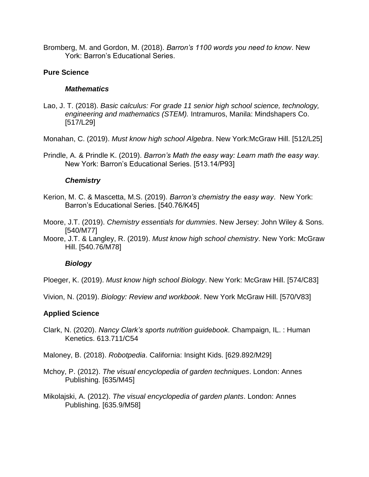Bromberg, M. and Gordon, M. (2018). *Barron's 1100 words you need to know*. New York: Barron's Educational Series.

#### **Pure Science**

#### *Mathematics*

Lao, J. T. (2018). *Basic calculus: For grade 11 senior high school science, technology, engineering and mathematics (STEM).* Intramuros, Manila: Mindshapers Co. [517/L29]

Monahan, C. (2019). *Must know high school Algebra*. New York:McGraw Hill. [512/L25]

Prindle, A. & Prindle K. (2019). *Barron's Math the easy way: Learn math the easy way.* New York: Barron's Educational Series. [513.14/P93]

#### *Chemistry*

Kerion, M. C. & Mascetta, M.S. (2019). *Barron's chemistry the easy way*. New York: Barron's Educational Series. [540.76/K45]

Moore, J.T. (2019). *Chemistry essentials for dummies*. New Jersey: John Wiley & Sons. [540/M77]

Moore, J.T. & Langley, R. (2019). *Must know high school chemistry*. New York: McGraw Hill. [540.76/M78]

## *Biology*

Ploeger, K. (2019). *Must know high school Biology*. New York: McGraw Hill. [574/C83]

Vivion, N. (2019). *Biology: Review and workbook*. New York McGraw Hill. [570/V83]

## **Applied Science**

Clark, N. (2020). *Nancy Clark's sports nutrition guidebook*. Champaign, IL. : Human Kenetics. 613.711/C54

Maloney, B. (2018). *Robotpedia*. California: Insight Kids. [629.892/M29]

Mchoy, P. (2012). *The visual encyclopedia of garden techniques*. London: Annes Publishing. [635/M45]

Mikolajski, A. (2012). *The visual encyclopedia of garden plants*. London: Annes Publishing. [635.9/M58]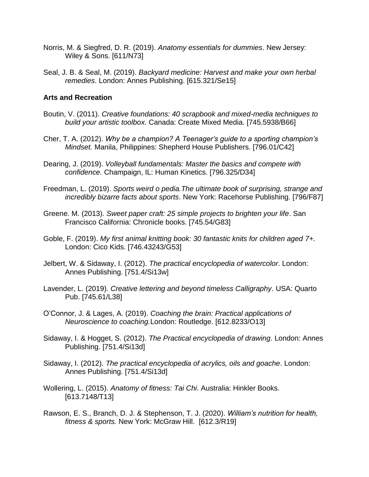- Norris, M. & Siegfred, D. R. (2019). *Anatomy essentials for dummies*. New Jersey: Wiley & Sons. [611/N73]
- Seal, J. B. & Seal, M. (2019). *Backyard medicine: Harvest and make your own herbal remedies*. London: Annes Publishing. [615.321/Se15]

#### **Arts and Recreation**

- Boutin, V. (2011). *Creative foundations: 40 scrapbook and mixed-media techniques to build your artistic toolbox.* Canada: Create Mixed Media. [745.5938/B66]
- Cher, T. A. (2012). *Why be a champion? A Teenager's guide to a sporting champion's Mindset.* Manila, Philippines: Shepherd House Publishers. [796.01/C42]
- Dearing, J. (2019). *Volleyball fundamentals: Master the basics and compete with confidence.* Champaign, IL: Human Kinetics. [796.325/D34]
- Freedman, L. (2019). *Sports weird o pedia.The ultimate book of surprising, strange and incredibly bizarre facts about sports*. New York: Racehorse Publishing. [796/F87]
- Greene. M. (2013). *Sweet paper craft: 25 simple projects to brighten your life*. San Francisco California: Chronicle books. [745.54/G83]
- Goble, F. (2019). *My first animal knitting book: 30 fantastic knits for children aged 7+.* London: Cico Kids. [746.43243/G53]
- Jelbert, W. & Sidaway, I. (2012). *The practical encyclopedia of watercolor*. London: Annes Publishing. [751.4/Si13w]
- Lavender, L. (2019). *Creative lettering and beyond timeless Calligraphy*. USA: Quarto Pub. [745.61/L38]
- O'Connor, J. & Lages, A. (2019). *Coaching the brain: Practical applications of Neuroscience to coaching.*London: Routledge. [612.8233/O13]
- Sidaway, I. & Hogget, S. (2012). *The Practical encyclopedia of drawing*. London: Annes Publishing. [751.4/Si13d]
- Sidaway, I. (2012). *The practical encyclopedia of acrylics, oils and goache*. London: Annes Publishing. [751.4/Si13d]
- Wollering, L. (2015). *Anatomy of fitness: Tai Chi*. Australia: Hinkler Books. [613.7148/T13]
- Rawson, E. S., Branch, D. J. & Stephenson, T. J. (2020). *William's nutrition for health, fitness & sports.* New York: McGraw Hill. [612.3/R19]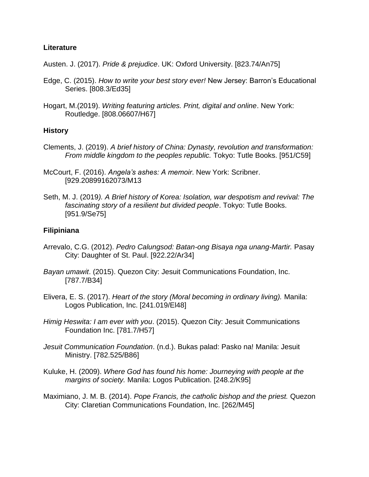# **Literature**

Austen. J. (2017). *Pride & prejudice*. UK: Oxford University. [823.74/An75]

- Edge, C. (2015). *How to write your best story ever!* New Jersey: Barron's Educational Series. [808.3/Ed35]
- Hogart, M.(2019). *Writing featuring articles. Print, digital and online*. New York: Routledge. [808.06607/H67]

## **History**

- Clements, J. (2019). *A brief history of China: Dynasty, revolution and transformation: From middle kingdom to the peoples republic.* Tokyo: Tutle Books. [951/C59]
- McCourt, F. (2016). *Angela's ashes: A memoir*. New York: Scribner. [929.20899162073/M13
- Seth, M. J. (2019*). A Brief history of Korea: Isolation, war despotism and revival: The fascinating story of a resilient but divided people*. Tokyo: Tutle Books. [951.9/Se75]

# **Filipiniana**

- Arrevalo, C.G. (2012). *Pedro Calungsod: Batan-ong Bisaya nga unang-Martir.* Pasay City: Daughter of St. Paul. [922.22/Ar34]
- *Bayan umawit*. (2015). Quezon City: Jesuit Communications Foundation, Inc. [787.7/B34]
- Elivera, E. S. (2017). *Heart of the story (Moral becoming in ordinary living).* Manila: Logos Publication, Inc. [241.019/El48]
- *Himig Heswita: I am ever with you*. (2015). Quezon City: Jesuit Communications Foundation Inc. [781.7/H57]
- *Jesuit Communication Foundation*. (n.d.). Bukas palad: Pasko na! Manila: Jesuit Ministry. [782.525/B86]
- Kuluke, H. (2009). *Where God has found his home: Journeying with people at the margins of society.* Manila: Logos Publication. [248.2/K95]
- Maximiano, J. M. B. (2014). *Pope Francis, the catholic bishop and the priest.* Quezon City: Claretian Communications Foundation, Inc. [262/M45]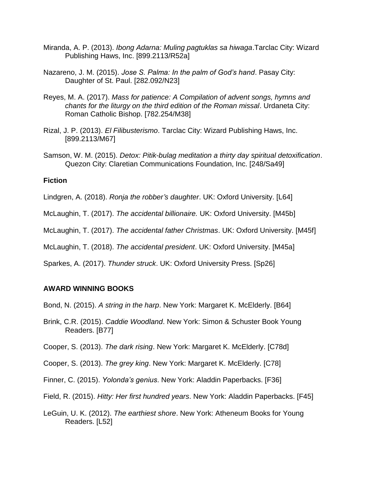- Miranda, A. P. (2013). *Ibong Adarna: Muling pagtuklas sa hiwaga*.Tarclac City: Wizard Publishing Haws, Inc. [899.2113/R52a]
- Nazareno, J. M. (2015). *Jose S. Palma: In the palm of God's hand*. Pasay City: Daughter of St. Paul. [282.092/N23]
- Reyes, M. A. (2017). *Mass for patience: A Compilation of advent songs, hymns and chants for the liturgy on the third edition of the Roman missal*. Urdaneta City: Roman Catholic Bishop. [782.254/M38]
- Rizal, J. P. (2013). *El Filibusterismo*. Tarclac City: Wizard Publishing Haws, Inc. [899.2113/M67]
- Samson, W. M. (2015). *Detox: Pitik-bulag meditation a thirty day spiritual detoxification*. Quezon City: Claretian Communications Foundation, Inc. [248/Sa49]

#### **Fiction**

- Lindgren, A. (2018). *Ronja the robber's daughter*. UK: Oxford University. [L64]
- McLaughin, T. (2017). *The accidental billionaire.* UK: Oxford University. [M45b]
- McLaughin, T. (2017). *The accidental father Christmas*. UK: Oxford University. [M45f]

McLaughin, T. (2018). *The accidental president*. UK: Oxford University. [M45a]

Sparkes, A. (2017). *Thunder struck*. UK: Oxford University Press. [Sp26]

#### **AWARD WINNING BOOKS**

Bond, N. (2015). *A string in the harp*. New York: Margaret K. McElderly. [B64]

- Brink, C.R. (2015). *Caddie Woodland*. New York: Simon & Schuster Book Young Readers. [B77]
- Cooper, S. (2013). *The dark rising*. New York: Margaret K. McElderly. [C78d]
- Cooper, S. (2013). *The grey king*. New York: Margaret K. McElderly. [C78]
- Finner, C. (2015). *Yolonda's genius*. New York: Aladdin Paperbacks. [F36]
- Field, R. (2015). *Hitty: Her first hundred years*. New York: Aladdin Paperbacks. [F45]
- LeGuin, U. K. (2012). *The earthiest shore*. New York: Atheneum Books for Young Readers. [L52]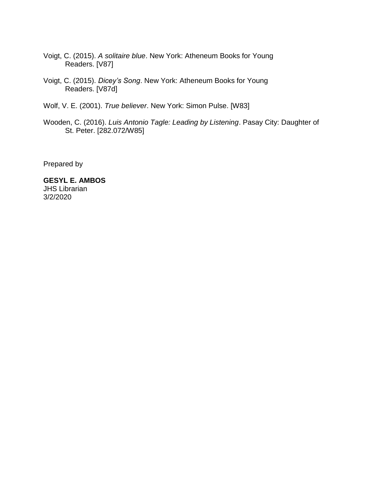- Voigt, C. (2015). *A solitaire blue*. New York: Atheneum Books for Young Readers. [V87]
- Voigt, C. (2015). *Dicey's Song*. New York: Atheneum Books for Young Readers. [V87d]
- Wolf, V. E. (2001). *True believer*. New York: Simon Pulse. [W83]
- Wooden, C. (2016). *Luis Antonio Tagle: Leading by Listening*. Pasay City: Daughter of St. Peter. [282.072/W85]

Prepared by

**GESYL E. AMBOS** JHS Librarian 3/2/2020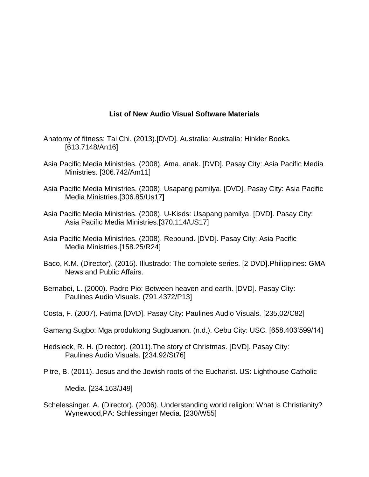# **List of New Audio Visual Software Materials**

- Anatomy of fitness: Tai Chi. (2013).[DVD]. Australia: Australia: Hinkler Books. [613.7148/An16]
- Asia Pacific Media Ministries. (2008). Ama, anak. [DVD]. Pasay City: Asia Pacific Media Ministries. [306.742/Am11]
- Asia Pacific Media Ministries. (2008). Usapang pamilya. [DVD]. Pasay City: Asia Pacific Media Ministries.[306.85/Us17]
- Asia Pacific Media Ministries. (2008). U-Kisds: Usapang pamilya. [DVD]. Pasay City: Asia Pacific Media Ministries.[370.114/US17]
- Asia Pacific Media Ministries. (2008). Rebound. [DVD]. Pasay City: Asia Pacific Media Ministries.[158.25/R24]
- Baco, K.M. (Director). (2015). Illustrado: The complete series. [2 DVD].Philippines: GMA News and Public Affairs.
- Bernabei, L. (2000). Padre Pio: Between heaven and earth. [DVD]. Pasay City: Paulines Audio Visuals. (791.4372/P13]
- Costa, F. (2007). Fatima [DVD]. Pasay City: Paulines Audio Visuals. [235.02/C82]
- Gamang Sugbo: Mga produktong Sugbuanon. (n.d.). Cebu City: USC. [658.403'599/14]
- Hedsieck, R. H. (Director). (2011).The story of Christmas. [DVD]. Pasay City: Paulines Audio Visuals. [234.92/St76]
- Pitre, B. (2011). Jesus and the Jewish roots of the Eucharist. US: Lighthouse Catholic

Media. [234.163/J49]

Schelessinger, A. (Director). (2006). Understanding world religion: What is Christianity? Wynewood,PA: Schlessinger Media. [230/W55]